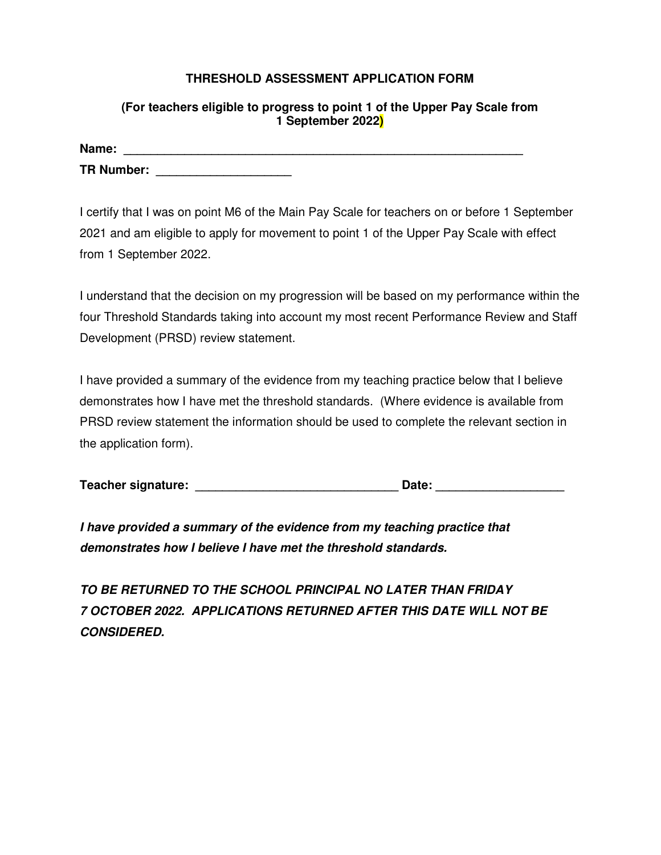## **THRESHOLD ASSESSMENT APPLICATION FORM**

## **(For teachers eligible to progress to point 1 of the Upper Pay Scale from 1 September 2022)**

| Name:             |  |
|-------------------|--|
| <b>TR Number:</b> |  |

I certify that I was on point M6 of the Main Pay Scale for teachers on or before 1 September 2021 and am eligible to apply for movement to point 1 of the Upper Pay Scale with effect from 1 September 2022.

I understand that the decision on my progression will be based on my performance within the four Threshold Standards taking into account my most recent Performance Review and Staff Development (PRSD) review statement.

I have provided a summary of the evidence from my teaching practice below that I believe demonstrates how I have met the threshold standards. (Where evidence is available from PRSD review statement the information should be used to complete the relevant section in the application form).

| <b>Teacher signature:</b> | Date: |  |
|---------------------------|-------|--|
|                           |       |  |

**I have provided a summary of the evidence from my teaching practice that demonstrates how I believe I have met the threshold standards.** 

**TO BE RETURNED TO THE SCHOOL PRINCIPAL NO LATER THAN FRIDAY 7 OCTOBER 2022. APPLICATIONS RETURNED AFTER THIS DATE WILL NOT BE CONSIDERED.**